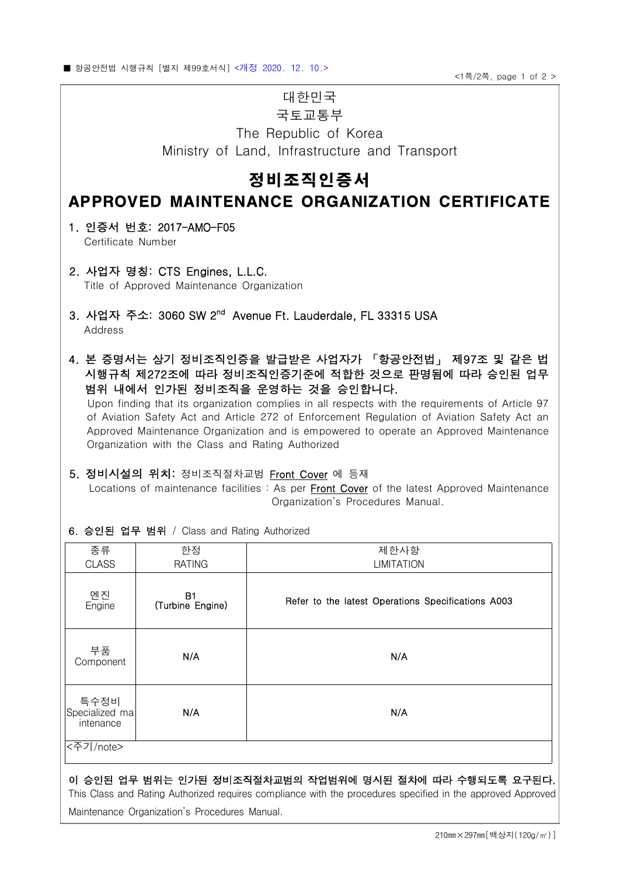# 대한민국

### 국토교통부

The Republic of Korea Ministry of Land, Infrastructure and Transport

## 정비조직인증서

### APPROVED MAINTENANCE ORGANIZATION CERTIFICATE

 1. 인증서 번호: 2017-AMO-F05 Certificate Number

- 2. 사업자 명칭: CTS Engines, L.L.C. Title of Approved Maintenance Organization
- 3. 사업자 주소: 3060 SW 2<sup>nd</sup> Avenue Ft. Lauderdale, FL 33315 USA Address
- 4. 본 증명서는 상기 정비조직인증을 발급받은 사업자가 「항공안전법」 제97조 및 같은 법 시행규칙 제272조에 따라 정비조직인증기준에 적합한 것으로 판명됨에 따라 승인된 업무 범위 내에서 인가된 정비조직을 운영하는 것을 승인합니다.

 Upon finding that its organization complies in all respects with the requirements of Article 97 of Aviation Safety Act and Article 272 of Enforcement Regulation of Aviation Safety Act an Approved Maintenance Organization and is empowered to operate an Approved Maintenance Organization with the Class and Rating Authorized

#### 5. 정비시설의 위치: 정비조직절차교범 Front Cover 에 등재

Locations of maintenance facilities : As per Front Cover of the latest Approved Maintenance Organization's Procedures Manual.

6. 승인된 업무 범위 / Class and Rating Authorized

| 종류                                  | 한정                            | 제한사항                                               |
|-------------------------------------|-------------------------------|----------------------------------------------------|
| <b>CLASS</b>                        | <b>RATING</b>                 | <b>LIMITATION</b>                                  |
| 엔진<br>Engine                        | <b>B1</b><br>(Turbine Engine) | Refer to the latest Operations Specifications A003 |
| 부품<br>Component                     | N/A                           | N/A                                                |
| 특수정비<br>Specialized ma<br>intenance | N/A                           | N/A                                                |
| <주기/note>                           |                               |                                                    |

#### 이 승인된 업무 범위는 인가된 정비조직절차교범의 작업범위에 명시된 절차에 따라 수행되도록 요구된다.

This Class and Rating Authorized requires compliance with the procedures specified in the approved Approved Maintenance Organization's Procedures Manual.